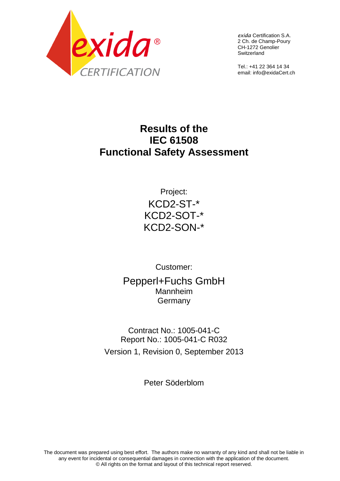

*exida* Certification S.A. 2 Ch. de Champ-Poury CH-1272 Genolier Switzerland

Tel.: +41 22 364 14 34 email: info@exidaCert.ch

# **Results of the IEC 61508 Functional Safety Assessment**

Project: KCD2-ST-\* KCD2-SOT-\* KCD2-SON-\*

Customer: Pepperl+Fuchs GmbH Mannheim Germany

Contract No.: 1005-041-C Report No.: 1005-041-C R032 Version 1, Revision 0, September 2013

Peter Söderblom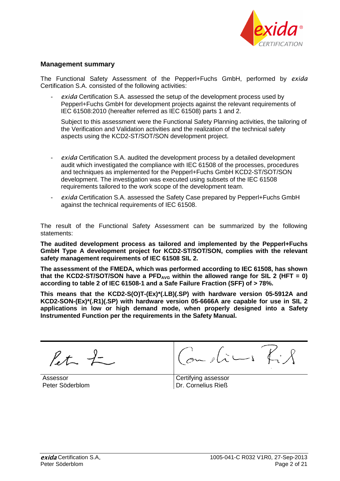

#### **Management summary**

The Functional Safety Assessment of the Pepperl+Fuchs GmbH, performed by *exida* Certification S.A. consisted of the following activities:

exida Certification S.A. assessed the setup of the development process used by Pepperl+Fuchs GmbH for development projects against the relevant requirements of IEC 61508:2010 (hereafter referred as IEC 61508) parts 1 and 2.

Subject to this assessment were the Functional Safety Planning activities, the tailoring of the Verification and Validation activities and the realization of the technical safety aspects using the KCD2-ST/SOT/SON development project.

- *exida* Certification S.A. audited the development process by a detailed development audit which investigated the compliance with IEC 61508 of the processes, procedures and techniques as implemented for the Pepperl+Fuchs GmbH KCD2-ST/SOT/SON development. The investigation was executed using subsets of the IEC 61508 requirements tailored to the work scope of the development team.
- exida Certification S.A. assessed the Safety Case prepared by Pepperl+Fuchs GmbH against the technical requirements of IEC 61508.

The result of the Functional Safety Assessment can be summarized by the following statements:

**The audited development process as tailored and implemented by the Pepperl+Fuchs GmbH Type A development project for KCD2-ST/SOT/SON, complies with the relevant safety management requirements of IEC 61508 SIL 2.**

**The assessment of the FMEDA, which was performed according to IEC 61508, has shown**  that the KCD2-ST/SOT/SON have a  $PFD_{AVG}$  within the allowed range for SIL 2 (HFT = 0) **according to table 2 of IEC 61508-1 and a Safe Failure Fraction (SFF) of > 78%.**

**This means that the KCD2-S(O)T-(Ex)\*(.LB)(.SP) with hardware version 05-5912A and KCD2-SON-(Ex)\*(.R1)(.SP) with hardware version 05-6666A are capable for use in SIL 2 applications in low or high demand mode, when properly designed into a Safety Instrumented Function per the requirements in the Safety Manual.** 

 $\int f + \int -$ 

Assessor Peter Söderblom

Certifying assessor Dr. Cornelius Rieß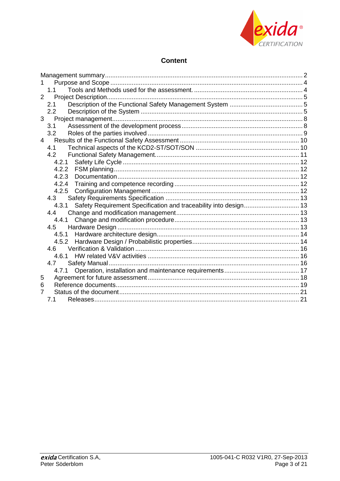

# **Content**

| 1.                                                                        |  |
|---------------------------------------------------------------------------|--|
| 1.1                                                                       |  |
| $\overline{2}$                                                            |  |
| 2.1                                                                       |  |
| 2.2                                                                       |  |
|                                                                           |  |
| 3.1                                                                       |  |
| 3.2                                                                       |  |
|                                                                           |  |
| 4.1                                                                       |  |
| 4.2                                                                       |  |
| 4.2.1                                                                     |  |
| 4.2.2                                                                     |  |
| 4.2.3                                                                     |  |
| 4.2.4                                                                     |  |
| 4.2.5                                                                     |  |
| 4.3                                                                       |  |
| Safety Requirement Specification and traceability into design 13<br>4.3.1 |  |
| 4.4                                                                       |  |
| 4.4.1                                                                     |  |
| 4.5                                                                       |  |
|                                                                           |  |
|                                                                           |  |
| 4.6                                                                       |  |
| 4.6.1                                                                     |  |
| 4.7                                                                       |  |
| 4.7.1                                                                     |  |
| 5                                                                         |  |
| 6                                                                         |  |
| 7                                                                         |  |
| 7.1                                                                       |  |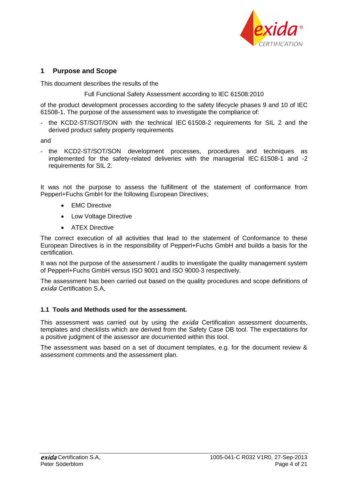

# **1 Purpose and Scope**

This document describes the results of the

Full Functional Safety Assessment according to IEC 61508:2010

of the product development processes according to the safety lifecycle phases 9 and 10 of IEC 61508-1. The purpose of the assessment was to investigate the compliance of:

- the KCD2-ST/SOT/SON with the technical IEC 61508-2 requirements for SIL 2 and the derived product safety property requirements

and

- the KCD2-ST/SOT/SON development processes, procedures and techniques as implemented for the safety-related deliveries with the managerial IEC 61508-1 and -2 requirements for SIL 2.

It was not the purpose to assess the fulfillment of the statement of conformance from Pepperl+Fuchs GmbH for the following European Directives;

- EMC Directive
- Low Voltage Directive
- ATEX Directive

The correct execution of all activities that lead to the statement of Conformance to these European Directives is in the responsibility of Pepperl+Fuchs GmbH and builds a basis for the certification.

It was not the purpose of the assessment / audits to investigate the quality management system of Pepperl+Fuchs GmbH versus ISO 9001 and ISO 9000-3 respectively.

The assessment has been carried out based on the quality procedures and scope definitions of *exida* Certification S.A

#### **1.1 Tools and Methods used for the assessment.**

This assessment was carried out by using the *exida* Certification assessment documents, templates and checklists which are derived from the Safety Case DB tool. The expectations for a positive judgment of the assessor are documented within this tool.

The assessment was based on a set of document templates, e.g. for the document review & assessment comments and the assessment plan.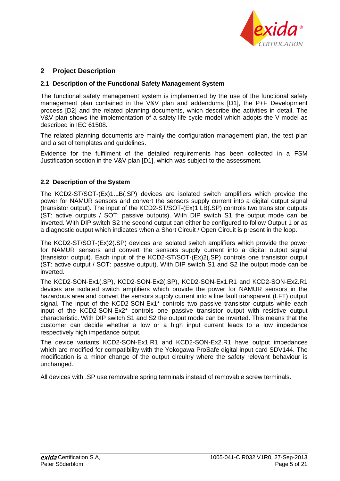

# **2 Project Description**

## **2.1 Description of the Functional Safety Management System**

The functional safety management system is implemented by the use of the functional safety management plan contained in the V&V plan and addendums [D1], the P+F Development process [D2] and the related planning documents, which describe the activities in detail. The V&V plan shows the implementation of a safety life cycle model which adopts the V-model as described in IEC 61508.

The related planning documents are mainly the configuration management plan, the test plan and a set of templates and guidelines.

Evidence for the fulfilment of the detailed requirements has been collected in a FSM Justification section in the V&V plan [D1], which was subject to the assessment.

## **2.2 Description of the System**

The KCD2-ST/SOT-(Ex)1.LB(.SP) devices are isolated switch amplifiers which provide the power for NAMUR sensors and convert the sensors supply current into a digital output signal (transistor output). The input of the KCD2-ST/SOT-(Ex)1.LB(.SP) controls two transistor outputs (ST: active outputs / SOT: passive outputs). With DIP switch S1 the output mode can be inverted. With DIP switch S2 the second output can either be configured to follow Output 1 or as a diagnostic output which indicates when a Short Circuit / Open Circuit is present in the loop.

The KCD2-ST/SOT-(Ex)2(.SP) devices are isolated switch amplifiers which provide the power for NAMUR sensors and convert the sensors supply current into a digital output signal (transistor output). Each input of the KCD2-ST/SOT-(Ex)2(.SP) controls one transistor output (ST: active output / SOT: passive output). With DIP switch S1 and S2 the output mode can be inverted.

The KCD2-SON-Ex1(.SP), KCD2-SON-Ex2(.SP), KCD2-SON-Ex1.R1 and KCD2-SON-Ex2.R1 devices are isolated switch amplifiers which provide the power for NAMUR sensors in the hazardous area and convert the sensors supply current into a line fault transparent (LFT) output signal. The input of the KCD2-SON-Ex1\* controls two passive transistor outputs while each input of the KCD2-SON-Ex2\* controls one passive transistor output with resistive output characteristic. With DIP switch S1 and S2 the output mode can be inverted. This means that the customer can decide whether a low or a high input current leads to a low impedance respectively high impedance output.

The device variants KCD2-SON-Ex1.R1 and KCD2-SON-Ex2.R1 have output impedances which are modified for compatibility with the Yokogawa ProSafe digital input card SDV144. The modification is a minor change of the output circuitry where the safety relevant behaviour is unchanged.

All devices with .SP use removable spring terminals instead of removable screw terminals.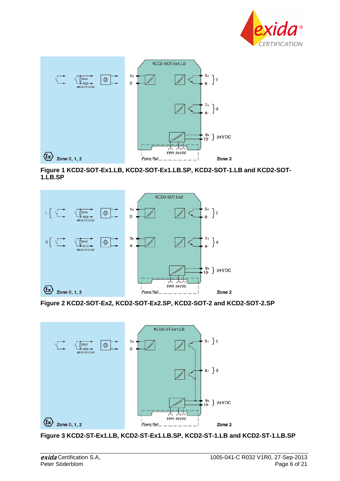



**Figure 1 KCD2-SOT-Ex1.LB, KCD2-SOT-Ex1.LB.SP, KCD2-SOT-1.LB and KCD2-SOT-1.LB.SP**



**Figure 2 KCD2-SOT-Ex2, KCD2-SOT-Ex2.SP, KCD2-SOT-2 and KCD2-SOT-2.SP**



**Figure 3 KCD2-ST-Ex1.LB, KCD2-ST-Ex1.LB.SP, KCD2-ST-1.LB and KCD2-ST-1.LB.SP**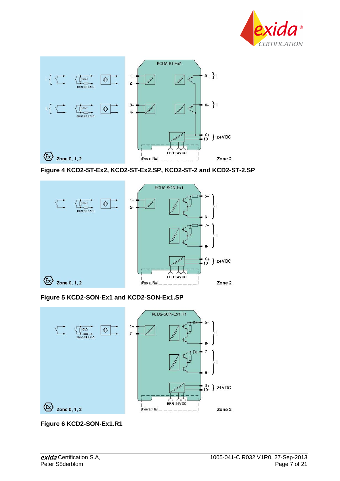



**Figure 4 KCD2-ST-Ex2, KCD2-ST-Ex2.SP, KCD2-ST-2 and KCD2-ST-2.SP**



**Figure 5 KCD2-SON-Ex1 and KCD2-SON-Ex1.SP**



**Figure 6 KCD2-SON-Ex1.R1**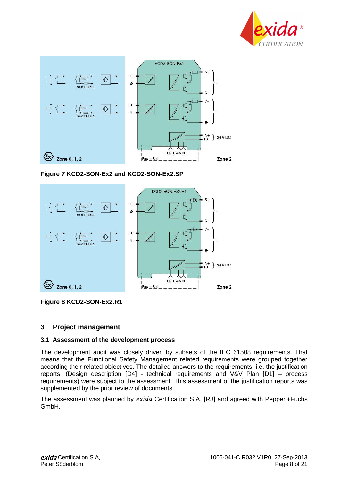



## **Figure 7 KCD2-SON-Ex2 and KCD2-SON-Ex2.SP**



**Figure 8 KCD2-SON-Ex2.R1**

## **3 Project management**

## **3.1 Assessment of the development process**

The development audit was closely driven by subsets of the IEC 61508 requirements. That means that the Functional Safety Management related requirements were grouped together according their related objectives. The detailed answers to the requirements, i.e. the justification reports, (Design description [D4] - technical requirements and V&V Plan [D1] – process requirements) were subject to the assessment. This assessment of the justification reports was supplemented by the prior review of documents.

The assessment was planned by *exida* Certification S.A. [R3] and agreed with Pepperl+Fuchs GmbH.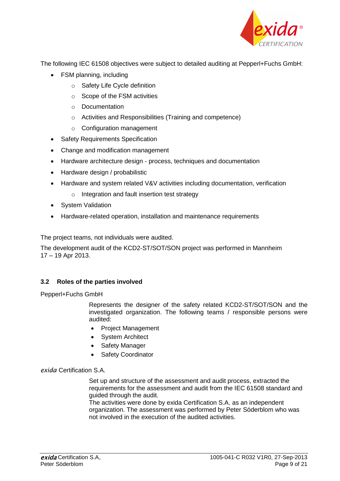

The following IEC 61508 objectives were subject to detailed auditing at Pepperl+Fuchs GmbH:

- FSM planning, including
	- o Safety Life Cycle definition
	- o Scope of the FSM activities
	- o Documentation
	- o Activities and Responsibilities (Training and competence)
	- $\circ$  Configuration management
- Safety Requirements Specification
- Change and modification management
- Hardware architecture design process, techniques and documentation
- Hardware design / probabilistic
- Hardware and system related V&V activities including documentation, verification
	- o Integration and fault insertion test strategy
- System Validation
- Hardware-related operation, installation and maintenance requirements

The project teams, not individuals were audited.

The development audit of the KCD2-ST/SOT/SON project was performed in Mannheim 17 – 19 Apr 2013.

# **3.2 Roles of the parties involved**

Pepperl+Fuchs GmbH

Represents the designer of the safety related KCD2-ST/SOT/SON and the investigated organization. The following teams / responsible persons were audited:

- Project Management
- System Architect
- Safety Manager
- Safety Coordinator

# *exida* Certification S.A.

Set up and structure of the assessment and audit process, extracted the requirements for the assessment and audit from the IEC 61508 standard and guided through the audit.

The activities were done by exida Certification S.A. as an independent organization. The assessment was performed by Peter Söderblom who was not involved in the execution of the audited activities.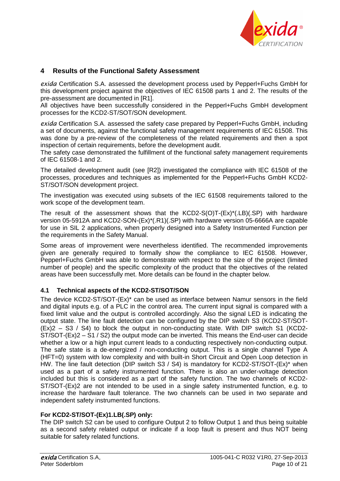

# **4 Results of the Functional Safety Assessment**

*exida* Certification S.A. assessed the development process used by Pepperl+Fuchs GmbH for this development project against the objectives of IEC 61508 parts 1 and 2. The results of the pre-assessment are documented in [R1].

All objectives have been successfully considered in the Pepperl+Fuchs GmbH development processes for the KCD2-ST/SOT/SON development.

*exida* Certification S.A. assessed the safety case prepared by Pepperl+Fuchs GmbH, including a set of documents, against the functional safety management requirements of IEC 61508. This was done by a pre-review of the completeness of the related requirements and then a spot inspection of certain requirements, before the development audit.

The safety case demonstrated the fulfillment of the functional safety management requirements of IEC 61508-1 and 2.

The detailed development audit (see [R2]) investigated the compliance with IEC 61508 of the processes, procedures and techniques as implemented for the Pepperl+Fuchs GmbH KCD2- ST/SOT/SON development project.

The investigation was executed using subsets of the IEC 61508 requirements tailored to the work scope of the development team.

The result of the assessment shows that the  $KCD2-S(O)T-(Ex)^{*}(.LB)(.SP)$  with hardware version 05-5912A and KCD2-SON-(Ex)\*(.R1)(.SP) with hardware version 05-6666A are capable for use in SIL 2 applications, when properly designed into a Safety Instrumented Function per the requirements in the Safety Manual.

Some areas of improvement were nevertheless identified. The recommended improvements given are generally required to formally show the compliance to IEC 61508. However, Pepperl+Fuchs GmbH was able to demonstrate with respect to the size of the project (limited number of people) and the specific complexity of the product that the objectives of the related areas have been successfully met. More details can be found in the chapter below.

## **4.1 Technical aspects of the KCD2-ST/SOT/SON**

The device KCD2-ST/SOT-(Ex)\* can be used as interface between Namur sensors in the field and digital inputs e.g. of a PLC in the control area. The current input signal is compared with a fixed limit value and the output is controlled accordingly. Also the signal LED is indicating the output state. The line fault detection can be configured by the DIP switch S3 (KCD2-ST/SOT- (Ex)2 – S3 / S4) to block the output in non-conducting state. With DIP switch S1 (KCD2- ST/SOT-(Ex)2 – S1 / S2) the output mode can be inverted. This means the End-user can decide whether a low or a high input current leads to a conducting respectively non-conducting output. The safe state is a de-energized / non-conducting output. This is a single channel Type A (HFT=0) system with low complexity and with built-in Short Circuit and Open Loop detection in HW. The line fault detection (DIP switch S3 / S4) is mandatory for KCD2-ST/SOT-(Ex)\* when used as a part of a safety instrumented function. There is also an under-voltage detection included but this is considered as a part of the safety function. The two channels of KCD2- ST/SOT-(Ex)2 are not intended to be used in a single safety instrumented function, e.g. to increase the hardware fault tolerance. The two channels can be used in two separate and independent safety instrumented functions.

#### **For KCD2-ST/SOT-(Ex)1.LB(.SP) only:**

The DIP switch S2 can be used to configure Output 2 to follow Output 1 and thus being suitable as a second safety related output or indicate if a loop fault is present and thus NOT being suitable for safety related functions.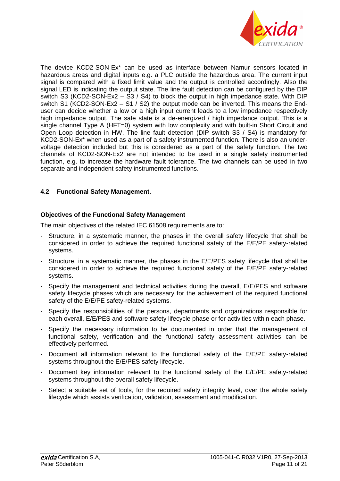

The device KCD2-SON-Ex\* can be used as interface between Namur sensors located in hazardous areas and digital inputs e.g. a PLC outside the hazardous area. The current input signal is compared with a fixed limit value and the output is controlled accordingly. Also the signal LED is indicating the output state. The line fault detection can be configured by the DIP switch S3 (KCD2-SON-Ex2 – S3 / S4) to block the output in high impedance state. With DIP switch S1 (KCD2-SON-Ex2 – S1 / S2) the output mode can be inverted. This means the Enduser can decide whether a low or a high input current leads to a low impedance respectively high impedance output. The safe state is a de-energized / high impedance output. This is a single channel Type A (HFT=0) system with low complexity and with built-in Short Circuit and Open Loop detection in HW. The line fault detection (DIP switch S3 / S4) is mandatory for KCD2-SON-Ex\* when used as a part of a safety instrumented function. There is also an undervoltage detection included but this is considered as a part of the safety function. The two channels of KCD2-SON-Ex2 are not intended to be used in a single safety instrumented function, e.g. to increase the hardware fault tolerance. The two channels can be used in two separate and independent safety instrumented functions.

# **4.2 Functional Safety Management.**

## **Objectives of the Functional Safety Management**

The main objectives of the related IEC 61508 requirements are to:

- Structure, in a systematic manner, the phases in the overall safety lifecycle that shall be considered in order to achieve the required functional safety of the E/E/PE safety-related systems.
- Structure, in a systematic manner, the phases in the E/E/PES safety lifecycle that shall be considered in order to achieve the required functional safety of the E/E/PE safety-related systems.
- Specify the management and technical activities during the overall, E/E/PES and software safety lifecycle phases which are necessary for the achievement of the required functional safety of the E/E/PE safety-related systems.
- Specify the responsibilities of the persons, departments and organizations responsible for each overall, E/E/PES and software safety lifecycle phase or for activities within each phase.
- Specify the necessary information to be documented in order that the management of functional safety, verification and the functional safety assessment activities can be effectively performed.
- Document all information relevant to the functional safety of the E/E/PE safety-related systems throughout the E/E/PES safety lifecycle.
- Document key information relevant to the functional safety of the E/E/PE safety-related systems throughout the overall safety lifecycle.
- Select a suitable set of tools, for the required safety integrity level, over the whole safety lifecycle which assists verification, validation, assessment and modification.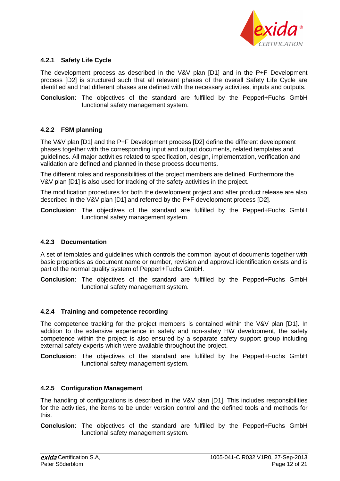

## **4.2.1 Safety Life Cycle**

The development process as described in the V&V plan [D1] and in the P+F Development process [D2] is structured such that all relevant phases of the overall Safety Life Cycle are identified and that different phases are defined with the necessary activities, inputs and outputs.

**Conclusion**: The objectives of the standard are fulfilled by the Pepperl+Fuchs GmbH functional safety management system.

#### **4.2.2 FSM planning**

The V&V plan [D1] and the P+F Development process [D2] define the different development phases together with the corresponding input and output documents, related templates and guidelines. All major activities related to specification, design, implementation, verification and validation are defined and planned in these process documents.

The different roles and responsibilities of the project members are defined. Furthermore the V&V plan [D1] is also used for tracking of the safety activities in the project.

The modification procedures for both the development project and after product release are also described in the V&V plan [D1] and referred by the P+F development process [D2].

**Conclusion**: The objectives of the standard are fulfilled by the Pepperl+Fuchs GmbH functional safety management system.

#### **4.2.3 Documentation**

A set of templates and guidelines which controls the common layout of documents together with basic properties as document name or number, revision and approval identification exists and is part of the normal quality system of Pepperl+Fuchs GmbH.

**Conclusion**: The objectives of the standard are fulfilled by the Pepperl+Fuchs GmbH functional safety management system.

#### **4.2.4 Training and competence recording**

The competence tracking for the project members is contained within the V&V plan [D1]. In addition to the extensive experience in safety and non-safety HW development, the safety competence within the project is also ensured by a separate safety support group including external safety experts which were available throughout the project.

**Conclusion**: The objectives of the standard are fulfilled by the Pepperl+Fuchs GmbH functional safety management system.

#### **4.2.5 Configuration Management**

The handling of configurations is described in the V&V plan [D1]. This includes responsibilities for the activities, the items to be under version control and the defined tools and methods for this.

**Conclusion**: The objectives of the standard are fulfilled by the Pepperl+Fuchs GmbH functional safety management system.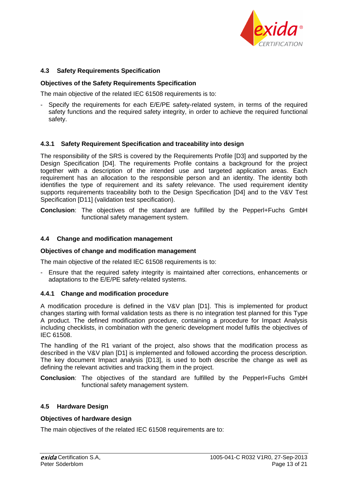

## **4.3 Safety Requirements Specification**

#### **Objectives of the Safety Requirements Specification**

The main objective of the related IEC 61508 requirements is to:

Specify the requirements for each E/E/PE safety-related system, in terms of the required safety functions and the required safety integrity, in order to achieve the required functional safety.

## **4.3.1 Safety Requirement Specification and traceability into design**

The responsibility of the SRS is covered by the Requirements Profile [D3] and supported by the Design Specification [D4]. The requirements Profile contains a background for the project together with a description of the intended use and targeted application areas. Each requirement has an allocation to the responsible person and an identity. The identity both identifies the type of requirement and its safety relevance. The used requirement identity supports requirements traceability both to the Design Specification [D4] and to the V&V Test Specification [D11] (validation test specification).

**Conclusion**: The objectives of the standard are fulfilled by the Pepperl+Fuchs GmbH functional safety management system.

#### **4.4 Change and modification management**

#### **Objectives of change and modification management**

The main objective of the related IEC 61508 requirements is to:

- Ensure that the required safety integrity is maintained after corrections, enhancements or adaptations to the E/E/PE safety-related systems.

#### **4.4.1 Change and modification procedure**

A modification procedure is defined in the V&V plan [D1]. This is implemented for product changes starting with formal validation tests as there is no integration test planned for this Type A product. The defined modification procedure, containing a procedure for Impact Analysis including checklists, in combination with the generic development model fulfils the objectives of IEC 61508.

The handling of the R1 variant of the project, also shows that the modification process as described in the V&V plan [D1] is implemented and followed according the process description. The key document Impact analysis [D13], is used to both describe the change as well as defining the relevant activities and tracking them in the project.

**Conclusion**: The objectives of the standard are fulfilled by the Pepperl+Fuchs GmbH functional safety management system.

#### **4.5 Hardware Design**

#### **Objectives of hardware design**

The main objectives of the related IEC 61508 requirements are to: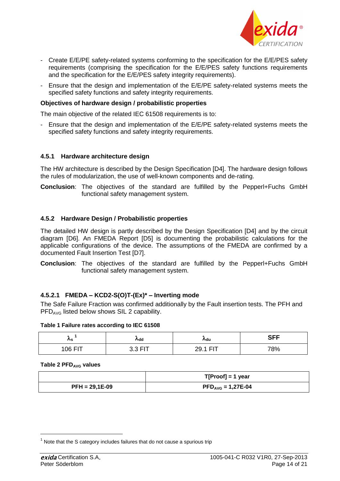

- Create E/E/PE safety-related systems conforming to the specification for the E/E/PES safety requirements (comprising the specification for the E/E/PES safety functions requirements and the specification for the E/E/PES safety integrity requirements).
- Ensure that the design and implementation of the E/E/PE safety-related systems meets the specified safety functions and safety integrity requirements.

#### **Objectives of hardware design / probabilistic properties**

The main objective of the related IEC 61508 requirements is to:

- Ensure that the design and implementation of the E/E/PE safety-related systems meets the specified safety functions and safety integrity requirements.

#### **4.5.1 Hardware architecture design**

The HW architecture is described by the Design Specification [D4]. The hardware design follows the rules of modularization, the use of well-known components and de-rating.

**Conclusion**: The objectives of the standard are fulfilled by the Pepperl+Fuchs GmbH functional safety management system.

#### **4.5.2 Hardware Design / Probabilistic properties**

The detailed HW design is partly described by the Design Specification [D4] and by the circuit diagram [D6]. An FMEDA Report [D5] is documenting the probabilistic calculations for the applicable configurations of the device. The assumptions of the FMEDA are confirmed by a documented Fault Insertion Test [D7].

**Conclusion**: The objectives of the standard are fulfilled by the Pepperl+Fuchs GmbH functional safety management system.

#### **4.5.2.1 FMEDA – KCD2-S(O)T-(Ex)\* – Inverting mode**

The Safe Failure Fraction was confirmed additionally by the Fault insertion tests. The PFH and PFD<sub>AVG</sub> listed below shows SIL 2 capability.

#### **Table 1 Failure rates according to IEC 61508**

| ∕∿s                                     | ∧dd                                | ∧du                         | <b>SFF</b> |
|-----------------------------------------|------------------------------------|-----------------------------|------------|
| 106 $\mathsf{F}\mathsf{I}^{\mathsf{T}}$ | <b>FIT</b><br>.<br>- 1<br>◡.◡<br>. | <b>CIT</b><br>າດ<br>∼∽<br>. | 78%        |

**Table 2 PFDAVG values**

|                  | $T[Proof] = 1$ year                                    |  |
|------------------|--------------------------------------------------------|--|
| $PFH = 29,1E-09$ | $\mathsf{PFD}_\mathsf{AVG} = 1,27\mathsf{E}\text{-}04$ |  |

 $1$  Note that the S category includes failures that do not cause a spurious trip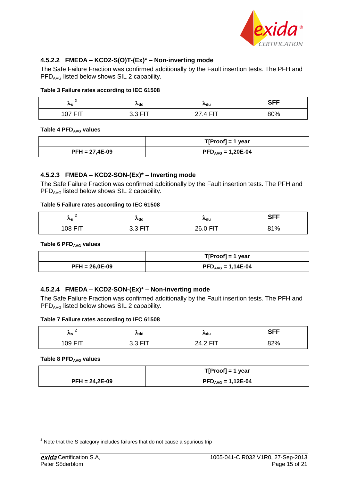

## **4.5.2.2 FMEDA – KCD2-S(O)T-(Ex)\* – Non-inverting mode**

The Safe Failure Fraction was confirmed additionally by the Fault insertion tests. The PFH and PFD<sub>AVG</sub> listed below shows SIL 2 capability.

#### **Table 3 Failure rates according to IEC 61508**

| ∧s       | <b>Add</b> | ∧du        | <b>SFF</b> |
|----------|------------|------------|------------|
| דום לחי  | 22E        | <b>CIT</b> | 80%        |
| <u>ь</u> | v.v        |            |            |

**Table 4 PFDAVG values**

|                  | $T[Proof] = 1$ year                        |
|------------------|--------------------------------------------|
| $PFH = 27,4E-09$ | $\mathsf{PFD}_{\mathsf{AVG}} = 1,20E - 04$ |

#### **4.5.2.3 FMEDA – KCD2-SON-(Ex)\* – Inverting mode**

The Safe Failure Fraction was confirmed additionally by the Fault insertion tests. The PFH and PFD<sub>AVG</sub> listed below shows SIL 2 capability.

#### **Table 5 Failure rates according to IEC 61508**

| -<br>$\mathcal{L}_{\mathbf{S}}$ | $\lambda$ dd | ∧du              | <b>CEE</b><br>ו וט              |
|---------------------------------|--------------|------------------|---------------------------------|
| 108 FIT                         | -            | າຂ ∩<br>. .<br>. | $Q$ 1 0/<br>-70<br>$\mathbf{v}$ |

**Table 6 PFDAVG values**

|                  | $T[Proof] = 1$ year                      |
|------------------|------------------------------------------|
| $PFH = 26,0E-09$ | $\mathsf{PFD}_{\mathsf{AVG}} = 1,14E-04$ |

#### **4.5.2.4 FMEDA – KCD2-SON-(Ex)\* – Non-inverting mode**

The Safe Failure Fraction was confirmed additionally by the Fault insertion tests. The PFH and PFD<sub>AVG</sub> listed below shows SIL 2 capability.

#### **Table 7 Failure rates according to IEC 61508**

| ∕'s     | ∧dd               | ∧ <sub>du</sub>               | <b>CEE</b><br>ו וט |
|---------|-------------------|-------------------------------|--------------------|
| 109 FIT | . EIT<br>ົ<br>◡.◡ | <b>CIT</b><br>24.2.<br>.<br>. | 070/<br>OZ 70      |

#### **Table 8 PFDAVG values**

|                  | $T[Proof] = 1$ year                                      |
|------------------|----------------------------------------------------------|
| $PFH = 24,2E-09$ | $\mathsf{PFD}_{\mathsf{AVG}} = 1,12\mathsf{E}\text{-}04$ |

 $2$  Note that the S category includes failures that do not cause a spurious trip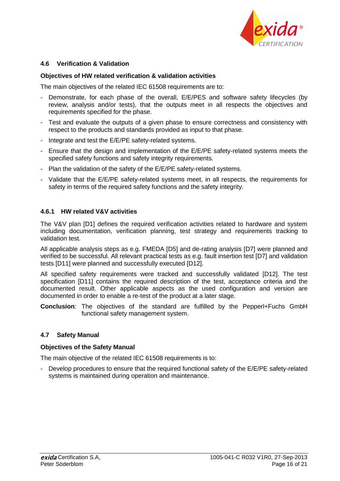

## **4.6 Verification & Validation**

#### **Objectives of HW related verification & validation activities**

The main objectives of the related IEC 61508 requirements are to:

- Demonstrate, for each phase of the overall, E/E/PES and software safety lifecycles (by review, analysis and/or tests), that the outputs meet in all respects the objectives and requirements specified for the phase.
- Test and evaluate the outputs of a given phase to ensure correctness and consistency with respect to the products and standards provided as input to that phase.
- Integrate and test the E/E/PE safety-related systems.
- Ensure that the design and implementation of the E/E/PE safety-related systems meets the specified safety functions and safety integrity requirements.
- Plan the validation of the safety of the E/E/PE safety-related systems.
- Validate that the E/E/PE safety-related systems meet, in all respects, the requirements for safety in terms of the required safety functions and the safety integrity.

#### **4.6.1 HW related V&V activities**

The V&V plan [D1] defines the required verification activities related to hardware and system including documentation, verification planning, test strategy and requirements tracking to validation test.

All applicable analysis steps as e.g. FMEDA [D5] and de-rating analysis [D7] were planned and verified to be successful. All relevant practical tests as e.g. fault insertion test [D7] and validation tests [D11] were planned and successfully executed [D12].

All specified safety requirements were tracked and successfully validated [D12]. The test specification [D11] contains the required description of the test, acceptance criteria and the documented result. Other applicable aspects as the used configuration and version are documented in order to enable a re-test of the product at a later stage.

**Conclusion**: The objectives of the standard are fulfilled by the Pepperl+Fuchs GmbH functional safety management system.

#### **4.7 Safety Manual**

#### **Objectives of the Safety Manual**

The main objective of the related IEC 61508 requirements is to:

- Develop procedures to ensure that the required functional safety of the E/E/PE safety-related systems is maintained during operation and maintenance.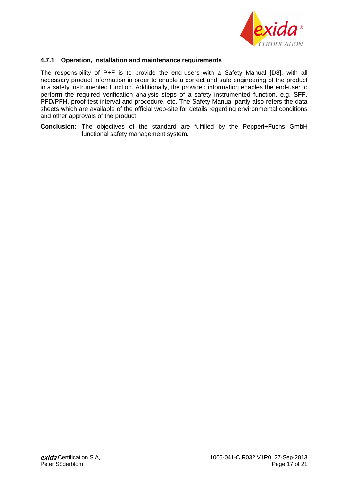

## **4.7.1 Operation, installation and maintenance requirements**

The responsibility of P+F is to provide the end-users with a Safety Manual [D8], with all necessary product information in order to enable a correct and safe engineering of the product in a safety instrumented function. Additionally, the provided information enables the end-user to perform the required verification analysis steps of a safety instrumented function, e.g. SFF, PFD/PFH, proof test interval and procedure, etc. The Safety Manual partly also refers the data sheets which are available of the official web-site for details regarding environmental conditions and other approvals of the product.

**Conclusion**: The objectives of the standard are fulfilled by the Pepperl+Fuchs GmbH functional safety management system.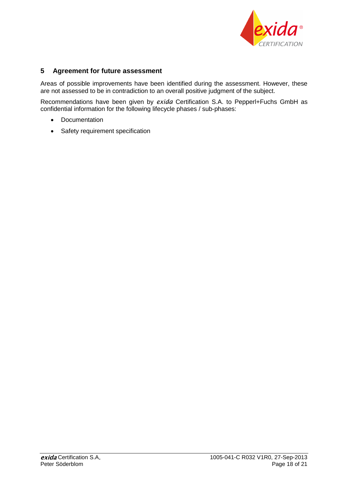

# **5 Agreement for future assessment**

Areas of possible improvements have been identified during the assessment. However, these are not assessed to be in contradiction to an overall positive judgment of the subject.

Recommendations have been given by *exida* Certification S.A. to Pepperl+Fuchs GmbH as confidential information for the following lifecycle phases / sub-phases:

- Documentation
- Safety requirement specification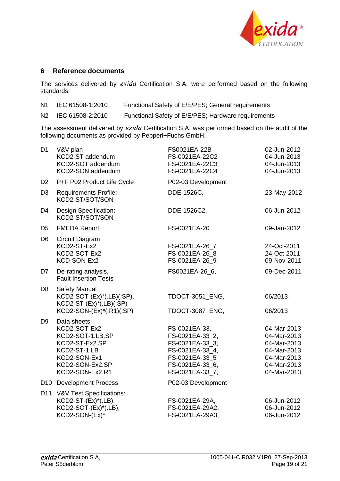

## **6 Reference documents**

The services delivered by *exida* Certification S.A. were performed based on the following standards.

- N1 IEC 61508-1:2010 Functional Safety of E/E/PES; General requirements
- N2 IEC 61508-2:2010 Functional Safety of E/E/PES; Hardware requirements

The assessment delivered by *exida* Certification S.A. was performed based on the audit of the following documents as provided by Pepperl+Fuchs GmbH.

| D <sub>1</sub> | V&V plan<br>KCD2-ST addendum<br>KCD2-SOT addendum<br>KCD2-SON addendum                                                                   | FS0021EA-22B<br>FS-0021EA-22C2<br>FS-0021EA-22C3<br>FS-0021EA-22C4                                                             | 02-Jun-2012<br>04-Jun-2013<br>04-Jun-2013<br>04-Jun-2013                                              |
|----------------|------------------------------------------------------------------------------------------------------------------------------------------|--------------------------------------------------------------------------------------------------------------------------------|-------------------------------------------------------------------------------------------------------|
| D <sub>2</sub> | P+F P02 Product Life Cycle                                                                                                               | P02-03 Development                                                                                                             |                                                                                                       |
| D <sub>3</sub> | <b>Requirements Profile:</b><br>KCD2-ST/SOT/SON                                                                                          | DDE-1526C,                                                                                                                     | 23-May-2012                                                                                           |
| D <sub>4</sub> | Design Specification:<br>KCD2-ST/SOT/SON                                                                                                 | DDE-1526C2,                                                                                                                    | 06-Jun-2012                                                                                           |
| D <sub>5</sub> | <b>FMEDA Report</b>                                                                                                                      | FS-0021EA-20                                                                                                                   | 09-Jan-2012                                                                                           |
| D <sub>6</sub> | Circuit Diagram<br>KCD2-ST-Ex2<br>KCD2-SOT-Ex2<br>KCD-SON-Ex2                                                                            | FS-0021EA-26 7<br>FS-0021EA-26 8<br>FS-0021EA-26 9                                                                             | 24-Oct-2011<br>24-Oct-2011<br>09-Nov-2011                                                             |
| D7             | De-rating analysis,<br><b>Fault Insertion Tests</b>                                                                                      | FS0021EA-26 6,                                                                                                                 | 09-Dec-2011                                                                                           |
| D <sub>8</sub> | <b>Safety Manual</b><br>KCD2-SOT-(Ex)*(.LB)(.SP),<br>$KCD2-ST-(Ex)^*(.LB)(.SP)$<br>KCD2-SON-(Ex)*(.R1)(.SP)                              | TDOCT-3051_ENG,<br>TDOCT-3087_ENG,                                                                                             | 06/2013<br>06/2013                                                                                    |
| D <sub>9</sub> | Data sheets:<br>KCD2-SOT-Ex2<br>KCD2-SOT-1.LB.SP<br>KCD2-ST-Ex2.SP<br>KCD2-ST-1.LB<br>KCD2-SON-Ex1<br>KCD2-SON-Ex2.SP<br>KCD2-SON-Ex2.R1 | FS-0021EA-33,<br>FS-0021EA-33_2,<br>FS-0021EA-33_3,<br>FS-0021EA-33_4,<br>FS-0021EA-33 5<br>FS-0021EA-33 6,<br>FS-0021EA-33_7, | 04-Mar-2013<br>04-Mar-2013<br>04-Mar-2013<br>04-Mar-2013<br>04-Mar-2013<br>04-Mar-2013<br>04-Mar-2013 |
|                | D10 Development Process                                                                                                                  | P02-03 Development                                                                                                             |                                                                                                       |
|                | D11 V&V Test Specifications:<br>KCD2-ST-(Ex)*(.LB),<br>KCD2-SOT-(Ex)*(.LB),<br>KCD2-SON-(Ex)*                                            | FS-0021EA-29A,<br>FS-0021EA-29A2,<br>FS-0021EA-29A3,                                                                           | 06-Jun-2012<br>06-Jun-2012<br>06-Jun-2012                                                             |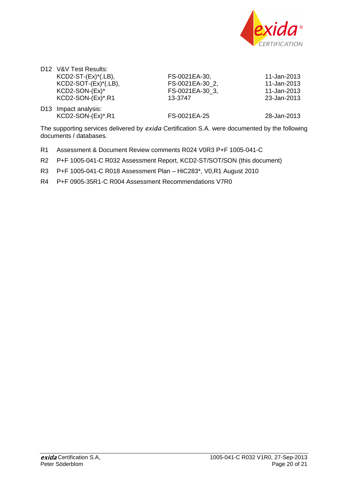

| $KCD2-SOT-(Ex)*(LB)$ , |
|------------------------|
|                        |
|                        |
|                        |

FS-0021EA-30, 11-Jan-2013 FS-0021EA-30\_2, 11-Jan-2013 FS-0021EA-30\_3,<br>13-3747

23-Jan-2013

| D13 Impact analysis: |              |             |
|----------------------|--------------|-------------|
| $KCD2-SON-(Ex)*R1$   | FS-0021EA-25 | 28-Jan-2013 |

The supporting services delivered by *exida* Certification S.A. were documented by the following documents / databases.

- R1 Assessment & Document Review comments R024 V0R3 P+F 1005-041-C
- R2 P+F 1005-041-C R032 Assessment Report, KCD2-ST/SOT/SON (this document)
- R3 P+F 1005-041-C R018 Assessment Plan HiC283\*, V0,R1 August 2010
- R4 P+F 0905-35R1-C R004 Assessment Recommendations V7R0